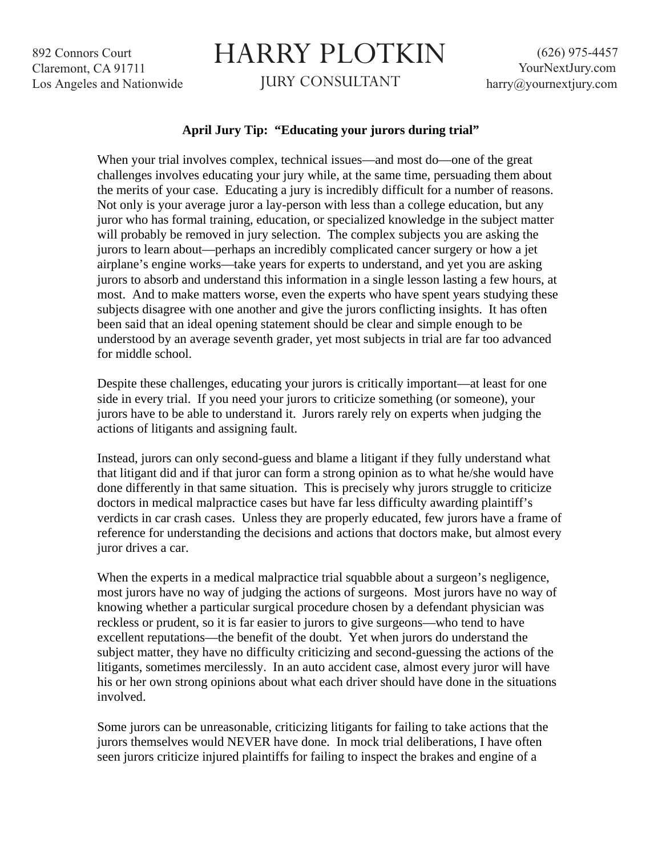892 Connors Court Claremont, CA 91711 Los Angeles and Nationwide

## HARRY PLOTKIN

JURY CONSULTANT

## **April Jury Tip: "Educating your jurors during trial"**

When your trial involves complex, technical issues—and most do—one of the great challenges involves educating your jury while, at the same time, persuading them about the merits of your case. Educating a jury is incredibly difficult for a number of reasons. Not only is your average juror a lay-person with less than a college education, but any juror who has formal training, education, or specialized knowledge in the subject matter will probably be removed in jury selection. The complex subjects you are asking the jurors to learn about—perhaps an incredibly complicated cancer surgery or how a jet airplane's engine works—take years for experts to understand, and yet you are asking jurors to absorb and understand this information in a single lesson lasting a few hours, at most. And to make matters worse, even the experts who have spent years studying these subjects disagree with one another and give the jurors conflicting insights. It has often been said that an ideal opening statement should be clear and simple enough to be understood by an average seventh grader, yet most subjects in trial are far too advanced for middle school.

Despite these challenges, educating your jurors is critically important—at least for one side in every trial. If you need your jurors to criticize something (or someone), your jurors have to be able to understand it. Jurors rarely rely on experts when judging the actions of litigants and assigning fault.

Instead, jurors can only second-guess and blame a litigant if they fully understand what that litigant did and if that juror can form a strong opinion as to what he/she would have done differently in that same situation. This is precisely why jurors struggle to criticize doctors in medical malpractice cases but have far less difficulty awarding plaintiff's verdicts in car crash cases. Unless they are properly educated, few jurors have a frame of reference for understanding the decisions and actions that doctors make, but almost every juror drives a car.

When the experts in a medical malpractice trial squabble about a surgeon's negligence, most jurors have no way of judging the actions of surgeons. Most jurors have no way of knowing whether a particular surgical procedure chosen by a defendant physician was reckless or prudent, so it is far easier to jurors to give surgeons—who tend to have excellent reputations—the benefit of the doubt. Yet when jurors do understand the subject matter, they have no difficulty criticizing and second-guessing the actions of the litigants, sometimes mercilessly. In an auto accident case, almost every juror will have his or her own strong opinions about what each driver should have done in the situations involved.

Some jurors can be unreasonable, criticizing litigants for failing to take actions that the jurors themselves would NEVER have done. In mock trial deliberations, I have often seen jurors criticize injured plaintiffs for failing to inspect the brakes and engine of a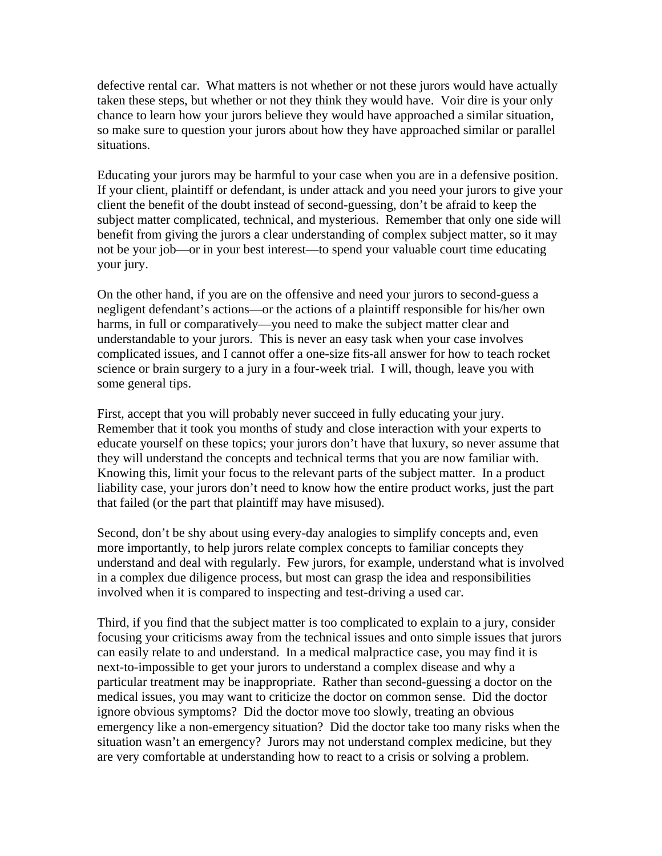defective rental car. What matters is not whether or not these jurors would have actually taken these steps, but whether or not they think they would have. Voir dire is your only chance to learn how your jurors believe they would have approached a similar situation, so make sure to question your jurors about how they have approached similar or parallel situations.

Educating your jurors may be harmful to your case when you are in a defensive position. If your client, plaintiff or defendant, is under attack and you need your jurors to give your client the benefit of the doubt instead of second-guessing, don't be afraid to keep the subject matter complicated, technical, and mysterious. Remember that only one side will benefit from giving the jurors a clear understanding of complex subject matter, so it may not be your job—or in your best interest—to spend your valuable court time educating your jury.

On the other hand, if you are on the offensive and need your jurors to second-guess a negligent defendant's actions—or the actions of a plaintiff responsible for his/her own harms, in full or comparatively—you need to make the subject matter clear and understandable to your jurors. This is never an easy task when your case involves complicated issues, and I cannot offer a one-size fits-all answer for how to teach rocket science or brain surgery to a jury in a four-week trial. I will, though, leave you with some general tips.

First, accept that you will probably never succeed in fully educating your jury. Remember that it took you months of study and close interaction with your experts to educate yourself on these topics; your jurors don't have that luxury, so never assume that they will understand the concepts and technical terms that you are now familiar with. Knowing this, limit your focus to the relevant parts of the subject matter. In a product liability case, your jurors don't need to know how the entire product works, just the part that failed (or the part that plaintiff may have misused).

Second, don't be shy about using every-day analogies to simplify concepts and, even more importantly, to help jurors relate complex concepts to familiar concepts they understand and deal with regularly. Few jurors, for example, understand what is involved in a complex due diligence process, but most can grasp the idea and responsibilities involved when it is compared to inspecting and test-driving a used car.

Third, if you find that the subject matter is too complicated to explain to a jury, consider focusing your criticisms away from the technical issues and onto simple issues that jurors can easily relate to and understand. In a medical malpractice case, you may find it is next-to-impossible to get your jurors to understand a complex disease and why a particular treatment may be inappropriate. Rather than second-guessing a doctor on the medical issues, you may want to criticize the doctor on common sense. Did the doctor ignore obvious symptoms? Did the doctor move too slowly, treating an obvious emergency like a non-emergency situation? Did the doctor take too many risks when the situation wasn't an emergency? Jurors may not understand complex medicine, but they are very comfortable at understanding how to react to a crisis or solving a problem.